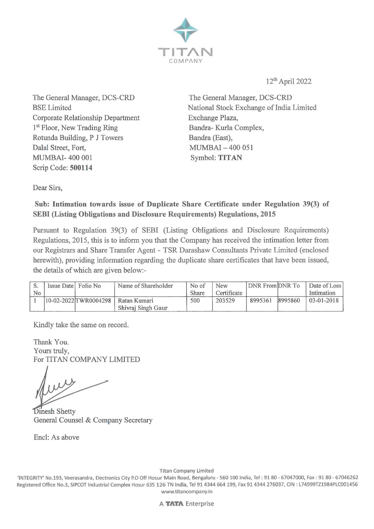

12th April 2022

The General Manager, DCS-CRD BSE Limited Corporate Relationship Department 1<sup>st</sup> Floor, New Trading Ring Rotunda Building, P J Towers Dalal Street, Fort, MUMBAI- 400 001 Scrip Code: **500114** 

The General Manager, DCS-CRD National Stock Exchange of India Limited Exchange Plaza, Bandra- Kurla Complex, Bandra (East), MUMBAI - 400 051 Symbol: **TITAN** 

Dear Sirs,

## **Sub: Intimation towards issue of Duplicate Share Certificate under Regulation 39(3) of SEBI (Listing Obligations and Disclosure Requirements) Regulations, 2015**

Pursuant to Regulation 39(3) of SEBI (Listing Obligations and Disclosure Requirements) Regulations, 2015, this is to inform you that the Company has received the intimation letter from our Registrars and Share Transfer Agent - TSR Darashaw Consultants Private Limited ( enclosed herewith), providing information regarding the duplicate share certificates that have been issued, the details of which are given below:-

|                | Issue Date Folio No | Name of Shareholder                  | No of        | <b>New</b>  | DNR From DNR To |         | Date of Loss |
|----------------|---------------------|--------------------------------------|--------------|-------------|-----------------|---------|--------------|
| N <sub>o</sub> |                     |                                      | <b>Share</b> | Certificate |                 |         | Intimation   |
|                |                     | 10-02-2022 TWR0004298   Ratan Kumari | 500          | 203529      | 8995361         | 8995860 | $03-01-2018$ |
|                |                     | Shivraj Singh Gaur                   |              |             |                 |         |              |

Kindly take the same on record.

Thank You. Yours truly, For TITAN COMPANY LIMITED

Dinesh Shetty General Counsel & Company Secretary

Encl: As above

Titan Company Limited

'INTEGRITY' No.193, Veerasandra, Electronics City P.O Off Hosur Main Road, Bengaluru - 560 100 India, Tel : 91 80 - 67047000, Fax : 91 80 - 67046262 Registered Office No.3, SIPCOT Industrial Complex Hosur 635 126 TN India, Tel 914344 664 199, Fax 914344 276037, CIN : L74999TZ1984PLC001456 www.titancompany.in